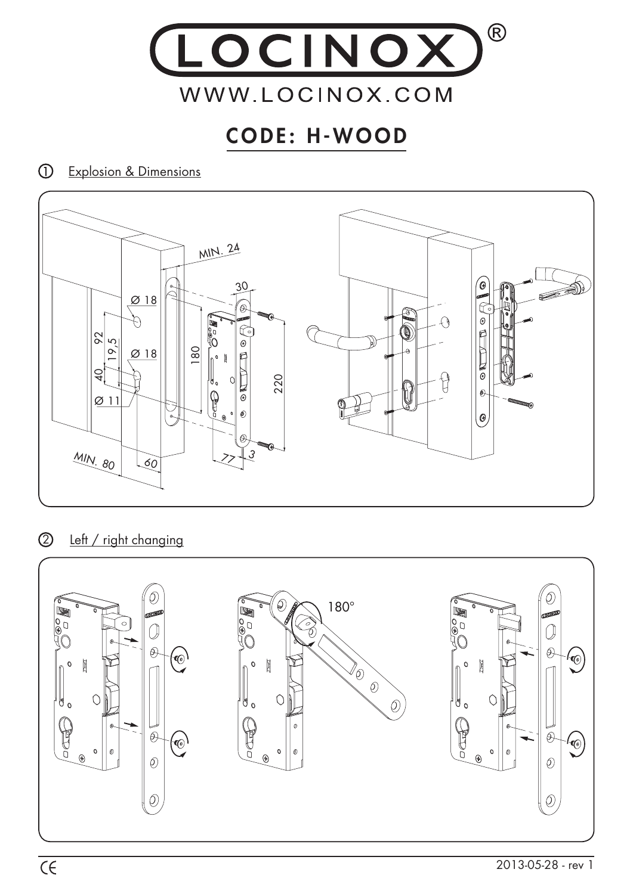

## CODE: H-WOOD

Explosion & Dimensions



2 Left / right changing

![](_page_0_Figure_5.jpeg)